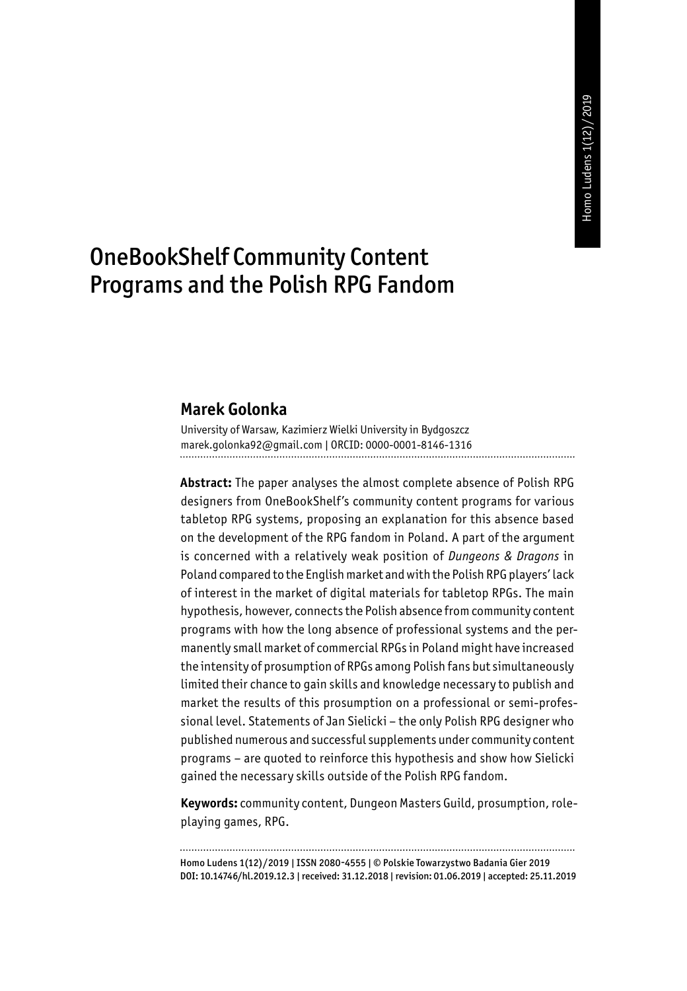# OneBookShelf Community Content Programs and the Polish RPG Fandom

#### **Marek Golonka**

University of Warsaw, Kazimierz Wielki University in Bydgoszcz marek.golonka92@gmail.com | ORCID: 0000-0001-8146-1316

**Abstract:** The paper analyses the almost complete absence of Polish RPG designers from OneBookShelf's community content programs for various tabletop RPG systems, proposing an explanation for this absence based on the development of the RPG fandom in Poland. A part of the argument is concerned with a relatively weak position of *Dungeons & Dragons* in Poland compared to the English market and with the Polish RPG players' lack of interest in the market of digital materials for tabletop RPGs. The main hypothesis, however, connects the Polish absence from community content programs with how the long absence of professional systems and the permanently small market of commercial RPGs in Poland might have increased the intensity of prosumption of RPGs among Polish fans but simultaneously limited their chance to gain skills and knowledge necessary to publish and market the results of this prosumption on a professional or semi-professional level. Statements of Jan Sielicki – the only Polish RPG designer who published numerous and successful supplements under community content programs – are quoted to reinforce this hypothesis and show how Sielicki gained the necessary skills outside of the Polish RPG fandom.

**Keywords:** community content, Dungeon Masters Guild, prosumption, roleplaying games, RPG.

Homo Ludens 1(12)/2019 | ISSN 2080-4555 | © Polskie Towarzystwo Badania Gier 2019 DOI: 10.14746/hl.2019.12.3 | received: 31.12.2018 | revision: 01.06.2019 | accepted: 25.11.2019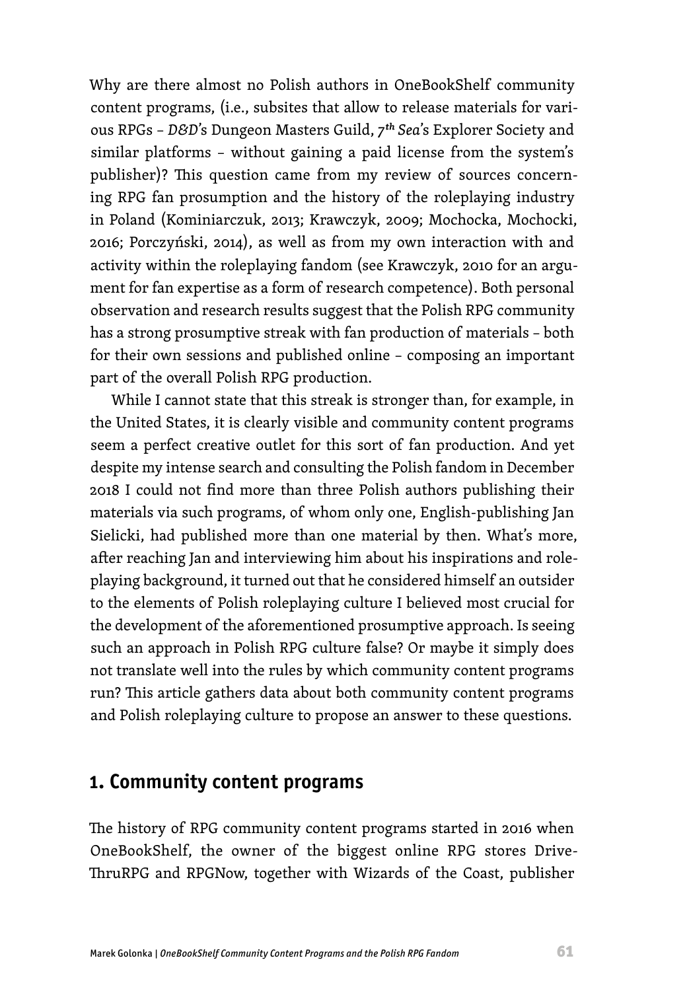Why are there almost no Polish authors in OneBookShelf community content programs, (i.e., subsites that allow to release materials for various RPGs – *D&D*'s Dungeon Masters Guild, *7th Sea*'s Explorer Society and similar platforms – without gaining a paid license from the system's publisher)? This question came from my review of sources concerning RPG fan prosumption and the history of the roleplaying industry in Poland (Kominiarczuk, 2013; Krawczyk, 2009; Mochocka, Mochocki, 2016; Porczyński, 2014), as well as from my own interaction with and activity within the roleplaying fandom (see Krawczyk, 2010 for an argument for fan expertise as a form of research competence). Both personal observation and research results suggest that the Polish RPG community has a strong prosumptive streak with fan production of materials – both for their own sessions and published online – composing an important part of the overall Polish RPG production.

While I cannot state that this streak is stronger than, for example, in the United States, it is clearly visible and community content programs seem a perfect creative outlet for this sort of fan production. And yet despite my intense search and consulting the Polish fandom in December 2018 I could not find more than three Polish authors publishing their materials via such programs, of whom only one, English-publishing Jan Sielicki, had published more than one material by then. What's more, after reaching Jan and interviewing him about his inspirations and roleplaying background, it turned out that he considered himself an outsider to the elements of Polish roleplaying culture I believed most crucial for the development of the aforementioned prosumptive approach. Is seeing such an approach in Polish RPG culture false? Or maybe it simply does not translate well into the rules by which community content programs run? This article gathers data about both community content programs and Polish roleplaying culture to propose an answer to these questions.

## **1. Community content programs**

The history of RPG community content programs started in 2016 when OneBookShelf, the owner of the biggest online RPG stores Drive-ThruRPG and RPGNow, together with Wizards of the Coast, publisher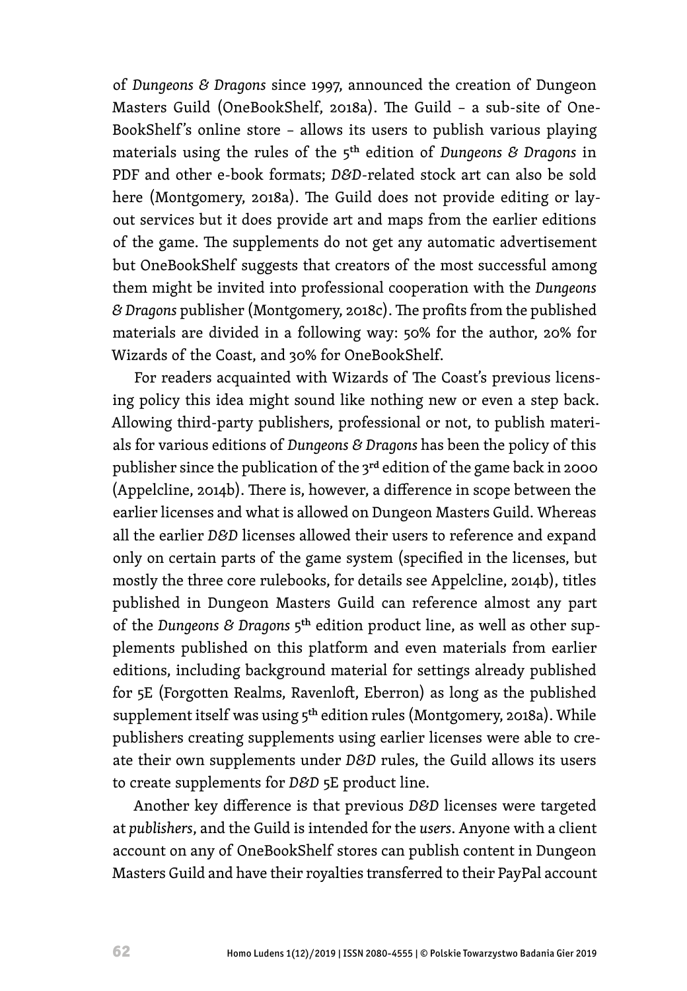of *Dungeons & Dragons* since 1997, announced the creation of Dungeon Masters Guild (OneBookShelf, 2018a). The Guild – a sub-site of One-BookShelf's online store - allows its users to publish various playing materials using the rules of the 5th edition of *Dungeons & Dragons* in PDF and other e-book formats; *D&D*-related stock art can also be sold here (Montgomery, 2018a). The Guild does not provide editing or layout services but it does provide art and maps from the earlier editions of the game. The supplements do not get any automatic advertisement but OneBookShelf suggests that creators of the most successful among them might be invited into professional cooperation with the *Dungeons & Dragons* publisher (Montgomery, 2018c). The profits from the published materials are divided in a following way: 50% for the author, 20% for Wizards of the Coast, and 30% for OneBookShelf.

For readers acquainted with Wizards of The Coast's previous licensing policy this idea might sound like nothing new or even a step back. Allowing third-party publishers, professional or not, to publish materials for various editions of *Dungeons & Dragons* has been the policy of this publisher since the publication of the 3<sup>rd</sup> edition of the game back in 2000 (Appelcline, 2014b). There is, however, a difference in scope between the earlier licenses and what is allowed on Dungeon Masters Guild. Whereas all the earlier *D&D* licenses allowed their users to reference and expand only on certain parts of the game system (specified in the licenses, but mostly the three core rulebooks, for details see Appelcline, 2014b), titles published in Dungeon Masters Guild can reference almost any part of the *Dungeons & Dragons* 5th edition product line, as well as other supplements published on this platform and even materials from earlier editions, including background material for settings already published for 5E (Forgotten Realms, Ravenloft, Eberron) as long as the published supplement itself was using 5<sup>th</sup> edition rules (Montgomery, 2018a). While publishers creating supplements using earlier licenses were able to create their own supplements under *D&D* rules, the Guild allows its users to create supplements for *D&D* 5E product line.

Another key difference is that previous *D&D* licenses were targeted at *publishers*, and the Guild is intended for the *users*. Anyone with a client account on any of OneBookShelf stores can publish content in Dungeon Masters Guild and have their royalties transferred to their PayPal account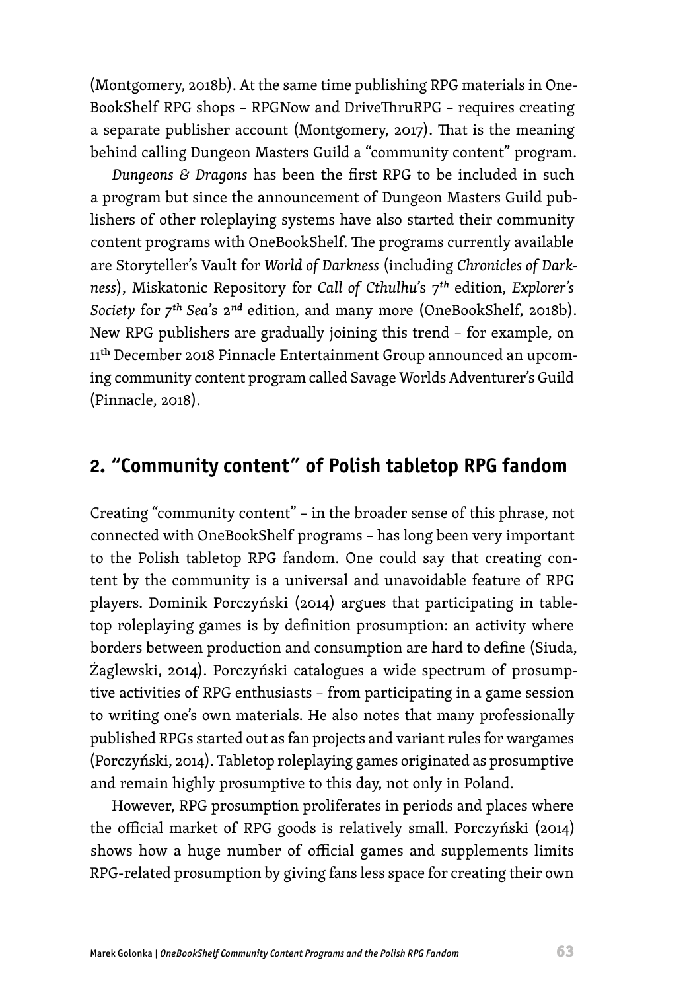(Montgomery, 2018b). At the same time publishing RPG materials in One-BookShelf RPG shops – RPGNow and DriveThruRPG – requires creating a separate publisher account (Montgomery, 2017). That is the meaning behind calling Dungeon Masters Guild a "community content" program.

*Dungeons & Dragons* has been the first RPG to be included in such a program but since the announcement of Dungeon Masters Guild publishers of other roleplaying systems have also started their community content programs with OneBookShelf. The programs currently available are Storyteller's Vault for *World of Darkness* (including *Chronicles of Darkness*), Miskatonic Repository for *Call of Cthulhu*'s 7*th* edition, *Explorer's Society* for *7th Sea*'s 2*nd* edition, and many more (OneBookShelf, 2018b). New RPG publishers are gradually joining this trend – for example, on 11<sup>th</sup> December 2018 Pinnacle Entertainment Group announced an upcoming community content program called Savage Worlds Adventurer's Guild (Pinnacle, 2018).

## **2. "Community content" of Polish tabletop RPG fandom**

Creating "community content" – in the broader sense of this phrase, not connected with OneBookShelf programs – has long been very important to the Polish tabletop RPG fandom. One could say that creating content by the community is a universal and unavoidable feature of RPG players. Dominik Porczyński (2014) argues that participating in tabletop roleplaying games is by definition prosumption: an activity where borders between production and consumption are hard to define (Siuda, Żaglewski, 2014). Porczyński catalogues a wide spectrum of prosumptive activities of RPG enthusiasts – from participating in a game session to writing one's own materials. He also notes that many professionally published RPGs started out as fan projects and variant rules for wargames (Porczyński, 2014). Tabletop roleplaying games originated as prosumptive and remain highly prosumptive to this day, not only in Poland.

However, RPG prosumption proliferates in periods and places where the official market of RPG goods is relatively small. Porczyński (2014) shows how a huge number of official games and supplements limits RPG-related prosumption by giving fans less space for creating their own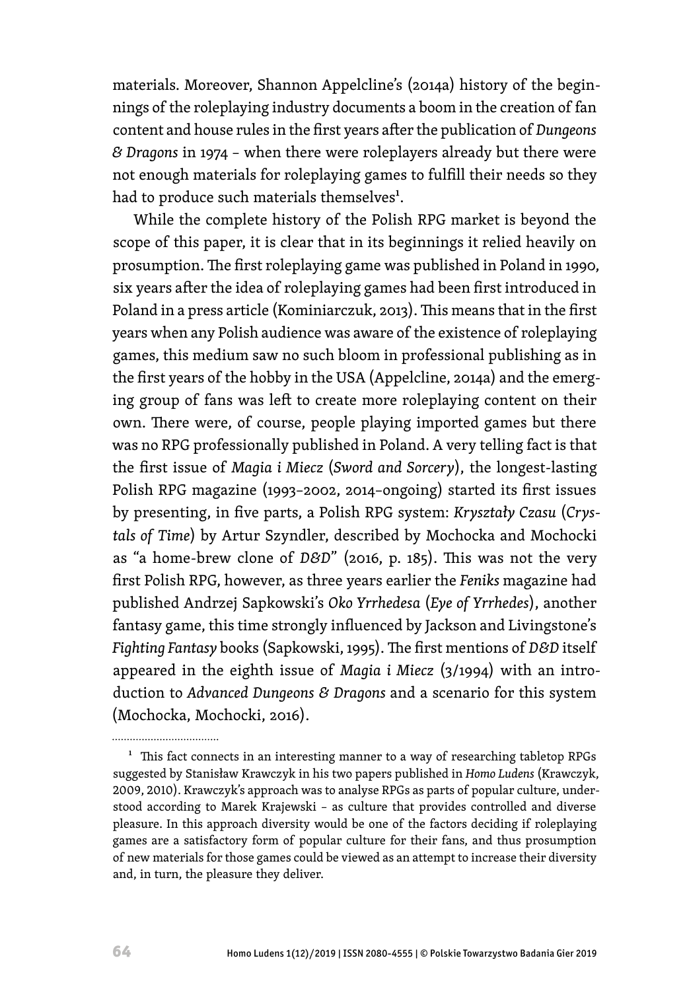materials. Moreover, Shannon Appelcline's (2014a) history of the beginnings of the roleplaying industry documents a boom in the creation of fan content and house rules in the first years after the publication of *Dungeons & Dragons* in 1974 – when there were roleplayers already but there were not enough materials for roleplaying games to fulfill their needs so they had to produce such materials themselves<sup>1</sup>.

While the complete history of the Polish RPG market is beyond the scope of this paper, it is clear that in its beginnings it relied heavily on prosumption. The first roleplaying game was published in Poland in 1990, six years after the idea of roleplaying games had been first introduced in Poland in a press article (Kominiarczuk, 2013). This means that in the first years when any Polish audience was aware of the existence of roleplaying games, this medium saw no such bloom in professional publishing as in the first years of the hobby in the USA (Appelcline, 2014a) and the emerging group of fans was left to create more roleplaying content on their own. There were, of course, people playing imported games but there was no RPG professionally published in Poland. A very telling fact is that the first issue of *Magia i Miecz* (*Sword and Sorcery*), the longest-lasting Polish RPG magazine (1993–2002, 2014–ongoing) started its first issues by presenting, in five parts, a Polish RPG system: *Kryształy Czasu* (*Crystals of Time*) by Artur Szyndler, described by Mochocka and Mochocki as "a home-brew clone of *D&D*" (2016, p. 185). This was not the very first Polish RPG, however, as three years earlier the *Feniks* magazine had published Andrzej Sapkowski's *Oko Yrrhedesa* (*Eye of Yrrhedes*), another fantasy game, this time strongly influenced by Jackson and Livingstone's *Fighting Fantasy* books (Sapkowski, 1995). The first mentions of *D&D* itself appeared in the eighth issue of *Magia i Miecz* (3/1994) with an introduction to *Advanced Dungeons & Dragons* and a scenario for this system (Mochocka, Mochocki, 2016).

................................

<sup>1</sup> This fact connects in an interesting manner to a way of researching tabletop RPGs suggested by Stanisław Krawczyk in his two papers published in *Homo Ludens* (Krawczyk, 2009, 2010). Krawczyk's approach was to analyse RPGs as parts of popular culture, understood according to Marek Krajewski – as culture that provides controlled and diverse pleasure. In this approach diversity would be one of the factors deciding if roleplaying games are a satisfactory form of popular culture for their fans, and thus prosumption of new materials for those games could be viewed as an attempt to increase their diversity and, in turn, the pleasure they deliver.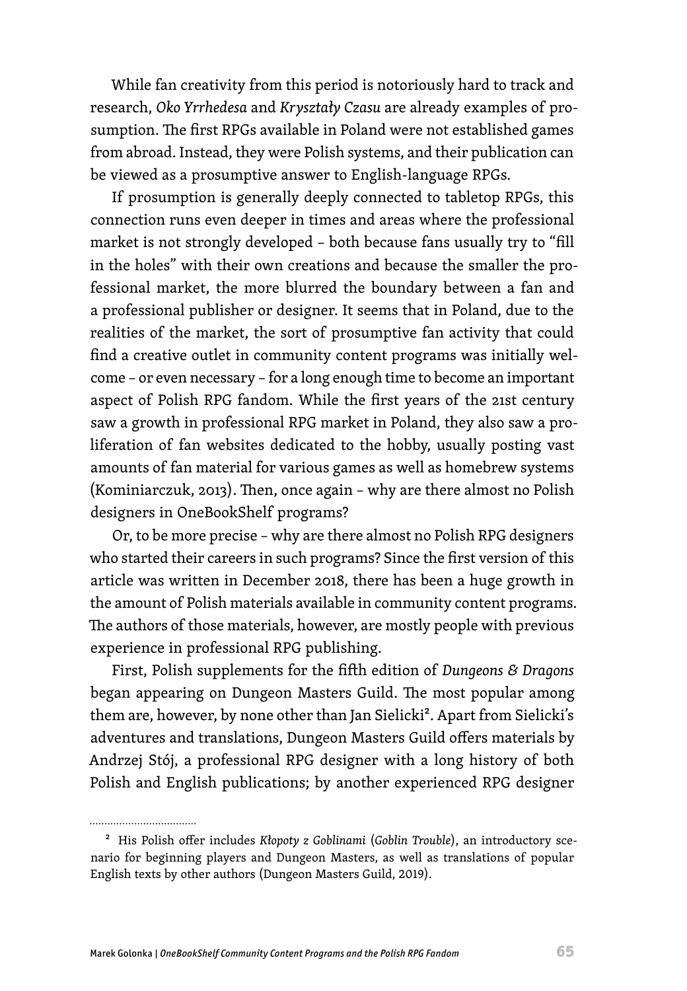While fan creativity from this period is notoriously hard to track and research, *Oko Yrrhedesa* and *Kryształy Czasu* are already examples of prosumption. The first RPGs available in Poland were not established games from abroad. Instead, they were Polish systems, and their publication can be viewed as a prosumptive answer to English-language RPGs.

If prosumption is generally deeply connected to tabletop RPGs, this connection runs even deeper in times and areas where the professional market is not strongly developed – both because fans usually try to "fill in the holes" with their own creations and because the smaller the professional market, the more blurred the boundary between a fan and a professional publisher or designer. It seems that in Poland, due to the realities of the market, the sort of prosumptive fan activity that could find a creative outlet in community content programs was initially welcome – or even necessary – for a long enough time to become an important aspect of Polish RPG fandom. While the first years of the 21st century saw a growth in professional RPG market in Poland, they also saw a proliferation of fan websites dedicated to the hobby, usually posting vast amounts of fan material for various games as well as homebrew systems (Kominiarczuk, 2013). Then, once again – why are there almost no Polish designers in OneBookShelf programs?

Or, to be more precise – why are there almost no Polish RPG designers who started their careers in such programs? Since the first version of this article was written in December 2018, there has been a huge growth in the amount of Polish materials available in community content programs. The authors of those materials, however, are mostly people with previous experience in professional RPG publishing.

First, Polish supplements for the fifth edition of *Dungeons & Dragons*  began appearing on Dungeon Masters Guild. The most popular among them are, however, by none other than Jan Sielicki<sup>2</sup>. Apart from Sielicki's adventures and translations, Dungeon Masters Guild offers materials by Andrzej Stój, a professional RPG designer with a long history of both Polish and English publications; by another experienced RPG designer

................................

<sup>2</sup> His Polish offer includes *Kłopoty z Goblinami* (*Goblin Trouble*), an introductory scenario for beginning players and Dungeon Masters, as well as translations of popular English texts by other authors (Dungeon Masters Guild, 2019).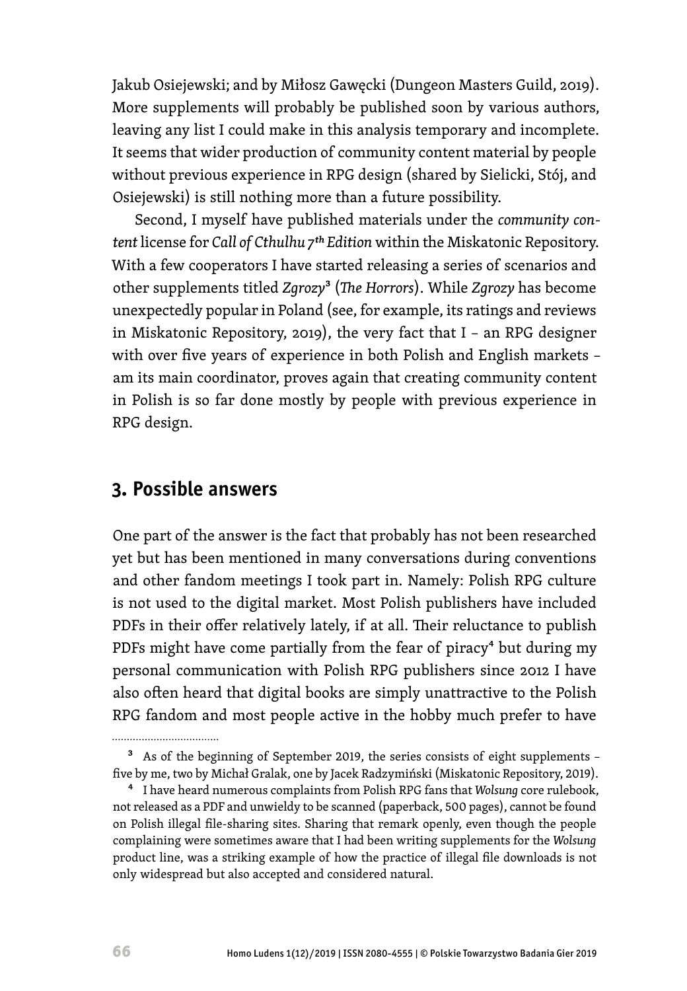Jakub Osiejewski; and by Miłosz Gawęcki (Dungeon Masters Guild, 2019). More supplements will probably be published soon by various authors, leaving any list I could make in this analysis temporary and incomplete. It seems that wider production of community content material by people without previous experience in RPG design (shared by Sielicki, Stój, and Osiejewski) is still nothing more than a future possibility.

Second, I myself have published materials under the *community content* license for *Call of Cthulhu 7th Edition* within the Miskatonic Repository. With a few cooperators I have started releasing a series of scenarios and other supplements titled *Zgrozy*3 (*The Horrors*). While *Zgrozy* has become unexpectedly popular in Poland (see, for example, its ratings and reviews in Miskatonic Repository, 2019), the very fact that I – an RPG designer with over five years of experience in both Polish and English markets – am its main coordinator, proves again that creating community content in Polish is so far done mostly by people with previous experience in RPG design.

#### **3. Possible answers**

One part of the answer is the fact that probably has not been researched yet but has been mentioned in many conversations during conventions and other fandom meetings I took part in. Namely: Polish RPG culture is not used to the digital market. Most Polish publishers have included PDFs in their offer relatively lately, if at all. Their reluctance to publish PDFs might have come partially from the fear of piracy<sup>4</sup> but during my personal communication with Polish RPG publishers since 2012 I have also often heard that digital books are simply unattractive to the Polish RPG fandom and most people active in the hobby much prefer to have ................................

<sup>3</sup> As of the beginning of September 2019, the series consists of eight supplements – five by me, two by Michał Gralak, one by Jacek Radzymiński (Miskatonic Repository, 2019).

<sup>4</sup> I have heard numerous complaints from Polish RPG fans that *Wolsung* core rulebook, not released as a PDF and unwieldy to be scanned (paperback, 500 pages), cannot be found on Polish illegal file-sharing sites. Sharing that remark openly, even though the people complaining were sometimes aware that I had been writing supplements for the *Wolsung*  product line, was a striking example of how the practice of illegal file downloads is not only widespread but also accepted and considered natural.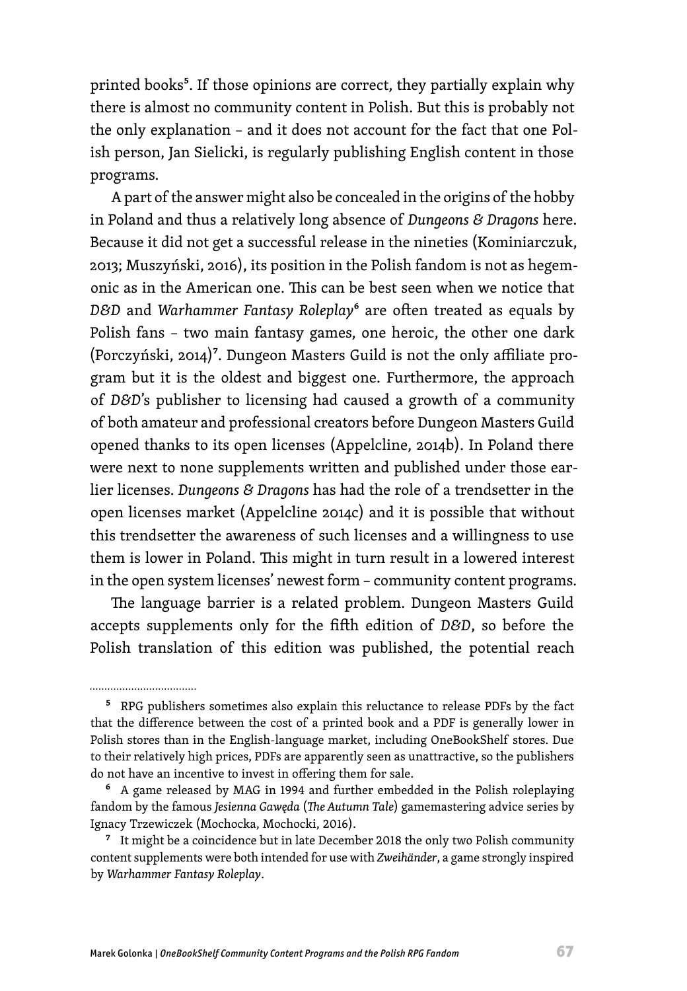printed books<sup>5</sup>. If those opinions are correct, they partially explain why there is almost no community content in Polish. But this is probably not the only explanation – and it does not account for the fact that one Polish person, Jan Sielicki, is regularly publishing English content in those programs.

A part of the answer might also be concealed in the origins of the hobby in Poland and thus a relatively long absence of *Dungeons & Dragons* here. Because it did not get a successful release in the nineties (Kominiarczuk, 2013; Muszyński, 2016), its position in the Polish fandom is not as hegemonic as in the American one. This can be best seen when we notice that *D&D* and *Warhammer Fantasy Roleplay*6 are often treated as equals by Polish fans - two main fantasy games, one heroic, the other one dark (Porczyński, 2014)<sup>7</sup>. Dungeon Masters Guild is not the only affiliate program but it is the oldest and biggest one. Furthermore, the approach of *D&D*'s publisher to licensing had caused a growth of a community of both amateur and professional creators before Dungeon Masters Guild opened thanks to its open licenses (Appelcline, 2014b). In Poland there were next to none supplements written and published under those earlier licenses. *Dungeons & Dragons* has had the role of a trendsetter in the open licenses market (Appelcline 2014c) and it is possible that without this trendsetter the awareness of such licenses and a willingness to use them is lower in Poland. This might in turn result in a lowered interest in the open system licenses' newest form – community content programs.

The language barrier is a related problem. Dungeon Masters Guild accepts supplements only for the fifth edition of *D&D*, so before the Polish translation of this edition was published, the potential reach

<sup>&</sup>lt;sup>5</sup> RPG publishers sometimes also explain this reluctance to release PDFs by the fact that the difference between the cost of a printed book and a PDF is generally lower in Polish stores than in the English-language market, including OneBookShelf stores. Due to their relatively high prices, PDFs are apparently seen as unattractive, so the publishers do not have an incentive to invest in offering them for sale.

<sup>6</sup> A game released by MAG in 1994 and further embedded in the Polish roleplaying fandom by the famous *Jesienna Gawęda* (*The Autumn Tale*) gamemastering advice series by Ignacy Trzewiczek (Mochocka, Mochocki, 2016).

 $7$  It might be a coincidence but in late December 2018 the only two Polish community content supplements were both intended for use with *Zweihänder*, a game strongly inspired by *Warhammer Fantasy Roleplay*.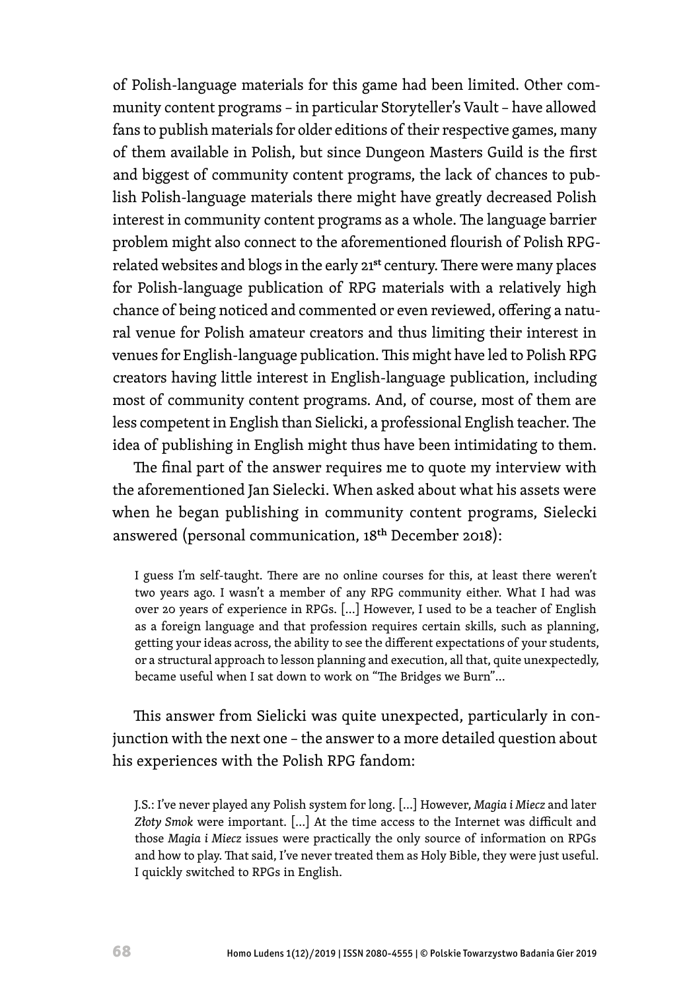of Polish-language materials for this game had been limited. Other community content programs – in particular Storyteller's Vault – have allowed fans to publish materials for older editions of their respective games, many of them available in Polish, but since Dungeon Masters Guild is the first and biggest of community content programs, the lack of chances to publish Polish-language materials there might have greatly decreased Polish interest in community content programs as a whole. The language barrier problem might also connect to the aforementioned flourish of Polish RPGrelated websites and blogs in the early 21<sup>st</sup> century. There were many places for Polish-language publication of RPG materials with a relatively high chance of being noticed and commented or even reviewed, offering a natural venue for Polish amateur creators and thus limiting their interest in venues for English-language publication. This might have led to Polish RPG creators having little interest in English-language publication, including most of community content programs. And, of course, most of them are less competent in English than Sielicki, a professional English teacher. The idea of publishing in English might thus have been intimidating to them.

The final part of the answer requires me to quote my interview with the aforementioned Jan Sielecki. When asked about what his assets were when he began publishing in community content programs, Sielecki answered (personal communication, 18th December 2018):

I guess I'm self-taught. There are no online courses for this, at least there weren't two years ago. I wasn't a member of any RPG community either. What I had was over 20 years of experience in RPGs. […] However, I used to be a teacher of English as a foreign language and that profession requires certain skills, such as planning, getting your ideas across, the ability to see the different expectations of your students, or a structural approach to lesson planning and execution, all that, quite unexpectedly, became useful when I sat down to work on "The Bridges we Burn"…

This answer from Sielicki was quite unexpected, particularly in conjunction with the next one – the answer to a more detailed question about his experiences with the Polish RPG fandom:

J.S.: I've never played any Polish system for long. […] However, *Magia i Miecz* and later *Złoty Smok* were important. […] At the time access to the Internet was difficult and those *Magia i Miecz* issues were practically the only source of information on RPGs and how to play. That said, I've never treated them as Holy Bible, they were just useful. I quickly switched to RPGs in English.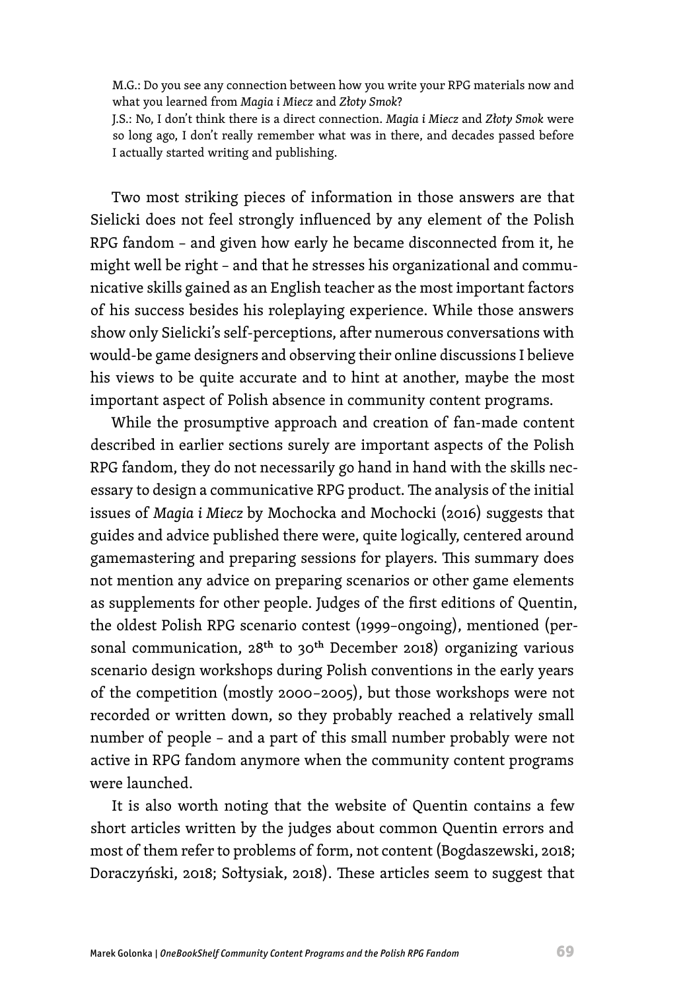M.G.: Do you see any connection between how you write your RPG materials now and what you learned from *Magia i Miecz* and *Złoty Smok*?

J.S.: No, I don't think there is a direct connection. *Magia i Miecz* and *Złoty Smok* were so long ago, I don't really remember what was in there, and decades passed before I actually started writing and publishing.

Two most striking pieces of information in those answers are that Sielicki does not feel strongly influenced by any element of the Polish RPG fandom – and given how early he became disconnected from it, he might well be right – and that he stresses his organizational and communicative skills gained as an English teacher as the most important factors of his success besides his roleplaying experience. While those answers show only Sielicki's self-perceptions, after numerous conversations with would-be game designers and observing their online discussions I believe his views to be quite accurate and to hint at another, maybe the most important aspect of Polish absence in community content programs.

While the prosumptive approach and creation of fan-made content described in earlier sections surely are important aspects of the Polish RPG fandom, they do not necessarily go hand in hand with the skills necessary to design a communicative RPG product. The analysis of the initial issues of *Magia i Miecz* by Mochocka and Mochocki (2016) suggests that guides and advice published there were, quite logically, centered around gamemastering and preparing sessions for players. This summary does not mention any advice on preparing scenarios or other game elements as supplements for other people. Judges of the first editions of Quentin, the oldest Polish RPG scenario contest (1999–ongoing), mentioned (personal communication, 28<sup>th</sup> to 30<sup>th</sup> December 2018) organizing various scenario design workshops during Polish conventions in the early years of the competition (mostly 2000–2005), but those workshops were not recorded or written down, so they probably reached a relatively small number of people – and a part of this small number probably were not active in RPG fandom anymore when the community content programs were launched.

It is also worth noting that the website of Quentin contains a few short articles written by the judges about common Quentin errors and most of them refer to problems of form, not content (Bogdaszewski, 2018; Doraczyński, 2018; Sołtysiak, 2018). These articles seem to suggest that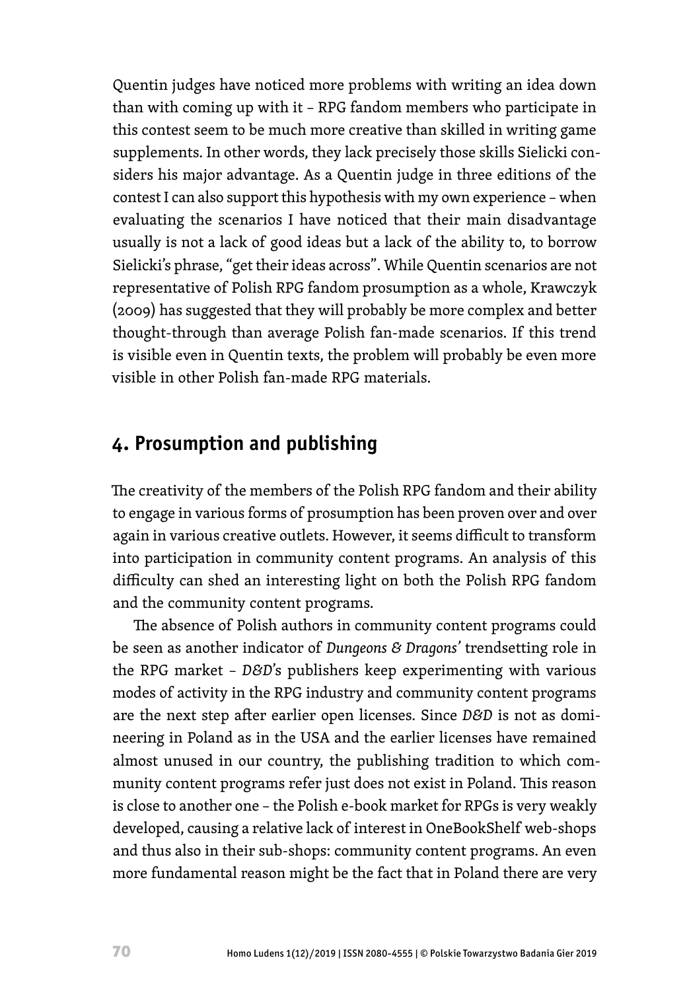Quentin judges have noticed more problems with writing an idea down than with coming up with it – RPG fandom members who participate in this contest seem to be much more creative than skilled in writing game supplements. In other words, they lack precisely those skills Sielicki considers his major advantage. As a Quentin judge in three editions of the contest I can also support this hypothesis with my own experience – when evaluating the scenarios I have noticed that their main disadvantage usually is not a lack of good ideas but a lack of the ability to, to borrow Sielicki's phrase, "get their ideas across". While Quentin scenarios are not representative of Polish RPG fandom prosumption as a whole, Krawczyk (2009) has suggested that they will probably be more complex and better thought-through than average Polish fan-made scenarios. If this trend is visible even in Quentin texts, the problem will probably be even more visible in other Polish fan-made RPG materials.

## **4. Prosumption and publishing**

The creativity of the members of the Polish RPG fandom and their ability to engage in various forms of prosumption has been proven over and over again in various creative outlets. However, it seems difficult to transform into participation in community content programs. An analysis of this difficulty can shed an interesting light on both the Polish RPG fandom and the community content programs.

The absence of Polish authors in community content programs could be seen as another indicator of *Dungeons & Dragons'* trendsetting role in the RPG market – *D&D*'s publishers keep experimenting with various modes of activity in the RPG industry and community content programs are the next step after earlier open licenses. Since *D&D* is not as domineering in Poland as in the USA and the earlier licenses have remained almost unused in our country, the publishing tradition to which community content programs refer just does not exist in Poland. This reason is close to another one – the Polish e-book market for RPGs is very weakly developed, causing a relative lack of interest in OneBookShelf web-shops and thus also in their sub-shops: community content programs. An even more fundamental reason might be the fact that in Poland there are very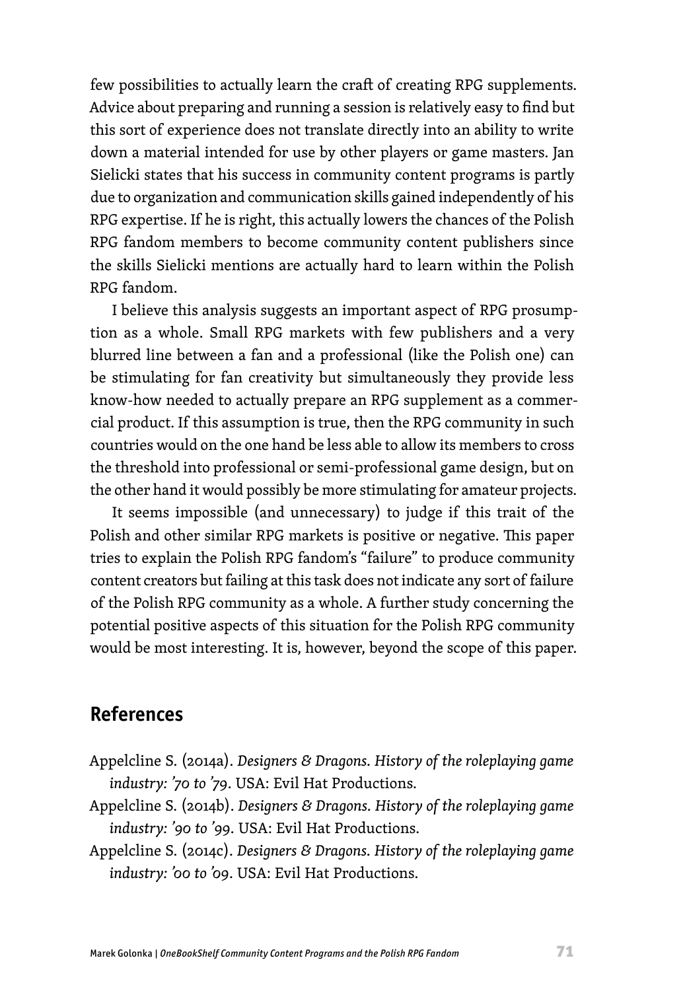few possibilities to actually learn the craft of creating RPG supplements. Advice about preparing and running a session is relatively easy to find but this sort of experience does not translate directly into an ability to write down a material intended for use by other players or game masters. Jan Sielicki states that his success in community content programs is partly due to organization and communication skills gained independently of his RPG expertise. If he is right, this actually lowers the chances of the Polish RPG fandom members to become community content publishers since the skills Sielicki mentions are actually hard to learn within the Polish RPG fandom.

I believe this analysis suggests an important aspect of RPG prosumption as a whole. Small RPG markets with few publishers and a very blurred line between a fan and a professional (like the Polish one) can be stimulating for fan creativity but simultaneously they provide less know-how needed to actually prepare an RPG supplement as a commercial product. If this assumption is true, then the RPG community in such countries would on the one hand be less able to allow its members to cross the threshold into professional or semi-professional game design, but on the other hand it would possibly be more stimulating for amateur projects.

It seems impossible (and unnecessary) to judge if this trait of the Polish and other similar RPG markets is positive or negative. This paper tries to explain the Polish RPG fandom's "failure" to produce community content creators but failing at this task does not indicate any sort of failure of the Polish RPG community as a whole. A further study concerning the potential positive aspects of this situation for the Polish RPG community would be most interesting. It is, however, beyond the scope of this paper.

## **References**

- Appelcline S. (2014a). *Designers & Dragons. History of the roleplaying game industry: '70 to '79*. USA: Evil Hat Productions.
- Appelcline S. (2014b). *Designers & Dragons. History of the roleplaying game industry: '90 to '99*. USA: Evil Hat Productions.
- Appelcline S. (2014c). *Designers & Dragons. History of the roleplaying game industry: '00 to '09*. USA: Evil Hat Productions.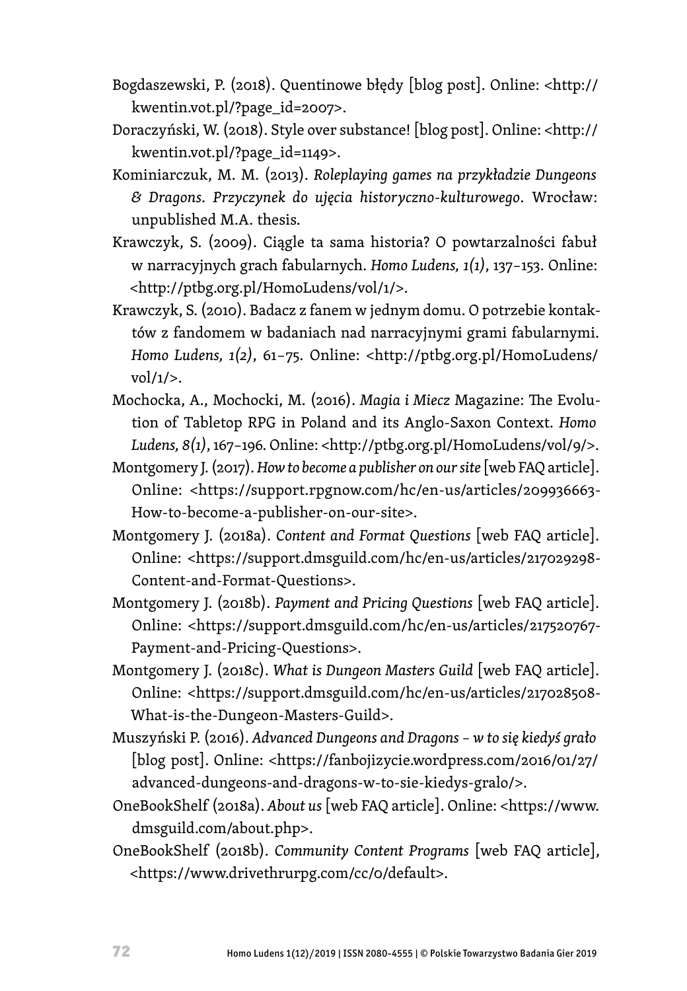- Bogdaszewski, P. (2018). Quentinowe błędy [blog post]. Online: <http:// kwentin.vot.pl/?page\_id=2007>.
- Doraczyński, W. (2018). Style over substance! [blog post]. Online: <http:// kwentin.vot.pl/?page\_id=1149>.
- Kominiarczuk, M. M. (2013). *Roleplaying games na przykładzie Dungeons & Dragons. Przyczynek do ujęcia historyczno-kulturowego*. Wrocław: unpublished M.A. thesis.
- Krawczyk, S. (2009). Ciągle ta sama historia? O powtarzalności fabuł w narracyjnych grach fabularnych. *Homo Ludens, 1(1)*, 137–153. Online: <http://ptbg.org.pl/HomoLudens/vol/1/>.
- Krawczyk, S. (2010). Badacz z fanem w jednym domu. O potrzebie kontaktów z fandomem w badaniach nad narracyjnymi grami fabularnymi. *Homo Ludens, 1(2)*, 61–75. Online: <http://ptbg.org.pl/HomoLudens/ vol/1/>.
- Mochocka, A., Mochocki, M. (2016). *Magia i Miecz* Magazine: The Evolution of Tabletop RPG in Poland and its Anglo-Saxon Context. *Homo Ludens, 8(1)*, 167–196. Online: <http://ptbg.org.pl/HomoLudens/vol/9/>.
- Montgomery J. (2017). *How to become a publisher on our site* [web FAQ article]. Online: <https://support.rpgnow.com/hc/en-us/articles/209936663- How-to-become-a-publisher-on-our-site>.
- Montgomery J. (2018a). *Content and Format Questions* [web FAQ article]. Online: <https://support.dmsguild.com/hc/en-us/articles/217029298- Content-and-Format-Questions>.
- Montgomery J. (2018b). *Payment and Pricing Questions* [web FAQ article]. Online: <https://support.dmsguild.com/hc/en-us/articles/217520767- Payment-and-Pricing-Questions>.
- Montgomery J. (2018c). *What is Dungeon Masters Guild* [web FAQ article]. Online: <https://support.dmsguild.com/hc/en-us/articles/217028508- What-is-the-Dungeon-Masters-Guild>.
- Muszyński P. (2016). *Advanced Dungeons and Dragons w to się kiedyś grało*  [blog post]. Online: <https://fanbojizycie.wordpress.com/2016/01/27/ advanced-dungeons-and-dragons-w-to-sie-kiedys-gralo/>.
- OneBookShelf (2018a). *About us* [web FAQ article]. Online: <https://www. dmsguild.com/about.php>.
- OneBookShelf (2018b). *Community Content Programs* [web FAQ article], <https://www.drivethrurpg.com/cc/0/default>.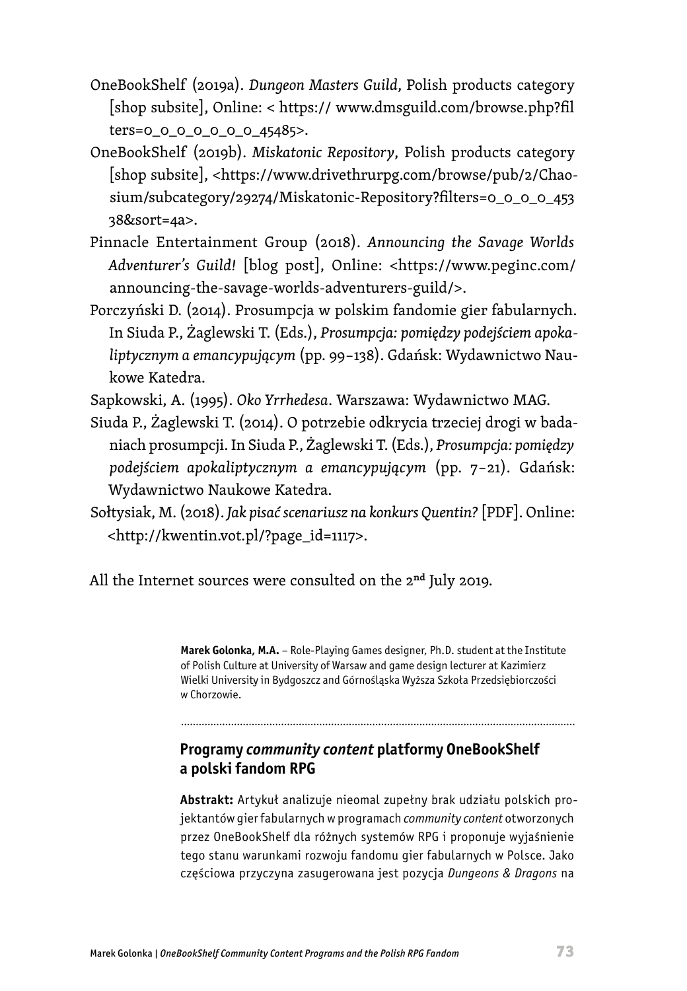- OneBookShelf (2019a). *Dungeon Masters Guild*, Polish products category [shop subsite], Online: < https:// www.dmsguild.com/browse.php?fil ters=0\_0\_0\_0\_0\_0\_0\_45485>.
- OneBookShelf (2019b). *Miskatonic Repository*, Polish products category [shop subsite], <https://www.drivethrurpg.com/browse/pub/2/Chaosium/subcategory/29274/Miskatonic-Repository?filters=0\_0\_0\_0\_453 38&sort=4a>.
- Pinnacle Entertainment Group (2018). *Announcing the Savage Worlds Adventurer's Guild!* [blog post], Online: <https://www.peginc.com/ announcing-the-savage-worlds-adventurers-guild/>.
- Porczyński D. (2014). Prosumpcja w polskim fandomie gier fabularnych. In Siuda P., Żaglewski T. (Eds.), *Prosumpcja: pomiędzy podejściem apokaliptycznym a emancypującym* (pp. 99–138). Gdańsk: Wydawnictwo Naukowe Katedra.

Sapkowski, A. (1995). *Oko Yrrhedesa*. Warszawa: Wydawnictwo MAG.

- Siuda P., Żaglewski T. (2014). O potrzebie odkrycia trzeciej drogi w badaniach prosumpcji. In Siuda P., Żaglewski T. (Eds.), *Prosumpcja: pomiędzy podejściem apokaliptycznym a emancypującym* (pp. 7–21). Gdańsk: Wydawnictwo Naukowe Katedra.
- Sołtysiak, M. (2018). *Jak pisać scenariusz na konkurs Quentin?* [PDF]. Online: <http://kwentin.vot.pl/?page\_id=1117>.

All the Internet sources were consulted on the 2<sup>nd</sup> July 2019.

**Marek Golonka, M.A.** – Role-Playing Games designer, Ph.D. student at the Institute of Polish Culture at University of Warsaw and game design lecturer at Kazimierz Wielki University in Bydgoszcz and Górnośląska Wyższa Szkoła Przedsiębiorczości w Chorzowie.

### **Programy** *community content* **platformy OneBookShelf a polski fandom RPG**

**Abstrakt:** Artykuł analizuje nieomal zupełny brak udziału polskich projektantów gier fabularnych w programach *community content* otworzonych przez OneBookShelf dla różnych systemów RPG i proponuje wyjaśnienie tego stanu warunkami rozwoju fandomu gier fabularnych w Polsce. Jako częściowa przyczyna zasugerowana jest pozycja *Dungeons & Dragons* na